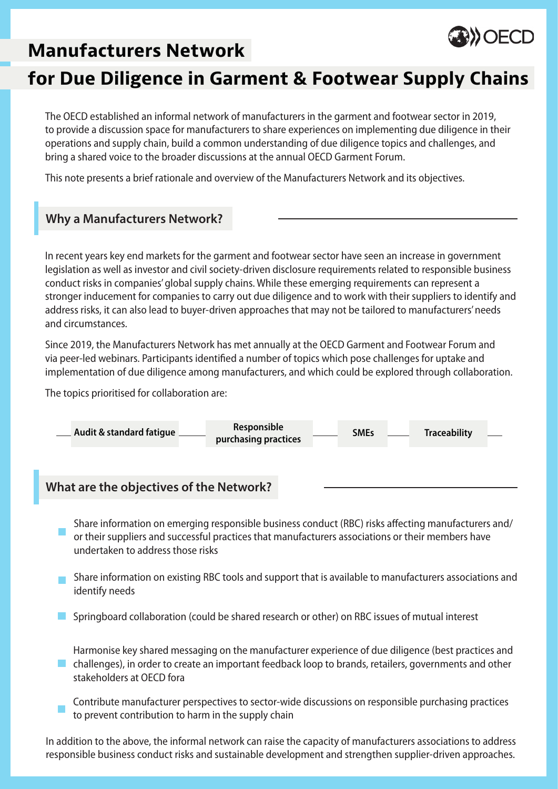# **Manufacturers Network**



# **for Due Diligence in Garment & Footwear Supply Chains**

The OECD established an informal network of manufacturers in the garment and footwear sector in 2019, to provide a discussion space for manufacturers to share experiences on implementing due diligence in their operations and supply chain, build a common understanding of due diligence topics and challenges, and bring a shared voice to the broader discussions at the annual OECD Garment Forum.

This note presents a brief rationale and overview of the Manufacturers Network and its objectives.

### **Why a Manufacturers Network?**

In recent years key end markets for the garment and footwear sector have seen an increase in government legislation as well as investor and civil society-driven disclosure requirements related to responsible business conduct risks in companies' global supply chains. While these emerging requirements can represent a stronger inducement for companies to carry out due diligence and to work with their suppliers to identify and address risks, it can also lead to buyer-driven approaches that may not be tailored to manufacturers' needs and circumstances.

Since 2019, the Manufacturers Network has met annually at the OECD Garment and Footwear Forum and via peer-led webinars. Participants identified a number of topics which pose challenges for uptake and implementation of due diligence among manufacturers, and which could be explored through collaboration.

The topics prioritised for collaboration are:



### **What are the objectives of the Network?**

- Share information on emerging responsible business conduct (RBC) risks affecting manufacturers and/ or their suppliers and successful practices that manufacturers associations or their members have undertaken to address those risks
- Share information on existing RBC tools and support that is available to manufacturers associations and identify needs
- Springboard collaboration (could be shared research or other) on RBC issues of mutual interest
- Harmonise key shared messaging on the manufacturer experience of due diligence (best practices and challenges), in order to create an important feedback loop to brands, retailers, governments and other  $\mathcal{L}(\mathcal{A})$ stakeholders at OECD fora
- Contribute manufacturer perspectives to sector-wide discussions on responsible purchasing practices to prevent contribution to harm in the supply chain

In addition to the above, the informal network can raise the capacity of manufacturers associations to address responsible business conduct risks and sustainable development and strengthen supplier-driven approaches.